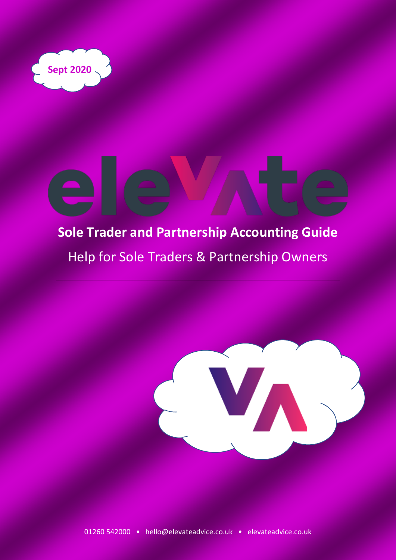

# **Sole Trader and Partnership Accounting Guide** Help for Sole Traders & Partnership Owners



V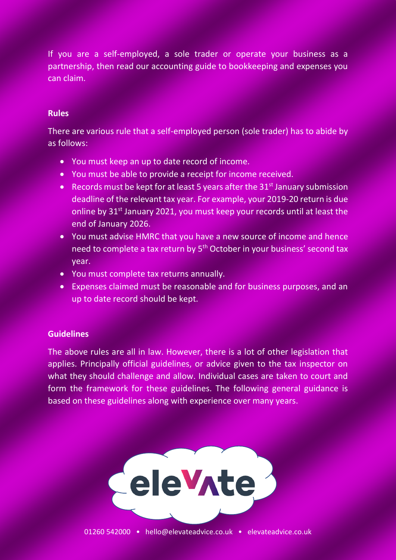If you are a self-employed, a sole trader or operate your business as a partnership, then read our accounting guide to bookkeeping and expenses you can claim.

## **Rules**

There are various rule that a self-employed person (sole trader) has to abide by as follows:

- You must keep an up to date record of income.
- You must be able to provide a receipt for income received.
- Records must be kept for at least 5 years after the  $31<sup>st</sup>$  January submission deadline of the relevant tax year. For example, your 2019-20 return is due online by  $31<sup>st</sup>$  January 2021, you must keep your records until at least the end of January 2026.
- You must advise HMRC that you have a new source of income and hence need to complete a tax return by 5<sup>th</sup> October in your business' second tax year.
- You must complete tax returns annually.
- Expenses claimed must be reasonable and for business purposes, and an up to date record should be kept.

# **Guidelines**

The above rules are all in law. However, there is a lot of other legislation that applies. Principally official guidelines, or advice given to the tax inspector on what they should challenge and allow. Individual cases are taken to court and form the framework for these guidelines. The following general guidance is based on these guidelines along with experience over many years.

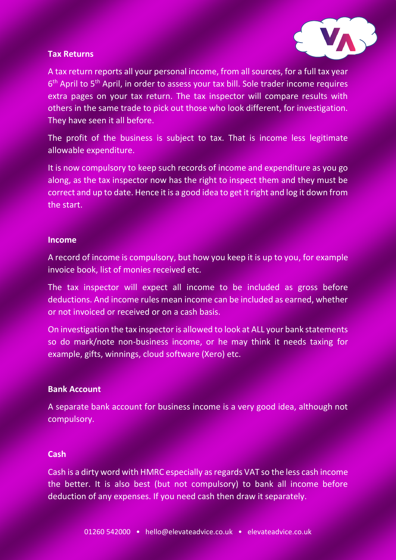# **Tax Returns**



A tax return reports all your personal income, from all sources, for a full tax year 6<sup>th</sup> April to 5<sup>th</sup> April, in order to assess your tax bill. Sole trader income requires extra pages on your tax return. The tax inspector will compare results with others in the same trade to pick out those who look different, for investigation. They have seen it all before.

The profit of the business is subject to tax. That is income less legitimate allowable expenditure.

It is now compulsory to keep such records of income and expenditure as you go along, as the tax inspector now has the right to inspect them and they must be correct and up to date. Hence it is a good idea to get it right and log it down from the start.

#### **Income**

A record of income is compulsory, but how you keep it is up to you, for example invoice book, list of monies received etc.

The tax inspector will expect all income to be included as gross before deductions. And income rules mean income can be included as earned, whether or not invoiced or received or on a cash basis.

On investigation the tax inspector is allowed to look at ALL your bank statements so do mark/note non-business income, or he may think it needs taxing for example, gifts, winnings, cloud software (Xero) etc.

## **Bank Account**

A separate bank account for business income is a very good idea, although not compulsory.

#### **Cash**

Cash is a dirty word with HMRC especially as regards VAT so the less cash income the better. It is also best (but not compulsory) to bank all income before deduction of any expenses. If you need cash then draw it separately.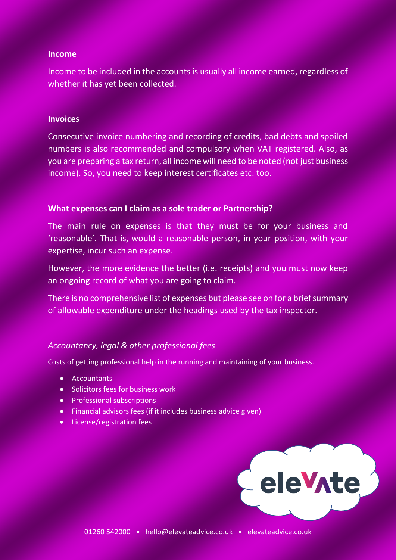#### **Income**

Income to be included in the accounts is usually all income earned, regardless of whether it has yet been collected.

#### **Invoices**

Consecutive invoice numbering and recording of credits, bad debts and spoiled numbers is also recommended and compulsory when VAT registered. Also, as you are preparing a tax return, all income will need to be noted (not just business income). So, you need to keep interest certificates etc. too.

#### **What expenses can I claim as a sole trader or Partnership?**

The main rule on expenses is that they must be for your business and 'reasonable'. That is, would a reasonable person, in your position, with your expertise, incur such an expense.

However, the more evidence the better (i.e. receipts) and you must now keep an ongoing record of what you are going to claim.

There is no comprehensive list of expenses but please see on for a brief summary of allowable expenditure under the headings used by the tax inspector.

## *Accountancy, legal & other professional fees*

Costs of getting professional help in the running and maintaining of your business.

- Accountants
- Solicitors fees for business work
- Professional subscriptions
- Financial advisors fees (if it includes business advice given)
- License/registration fees

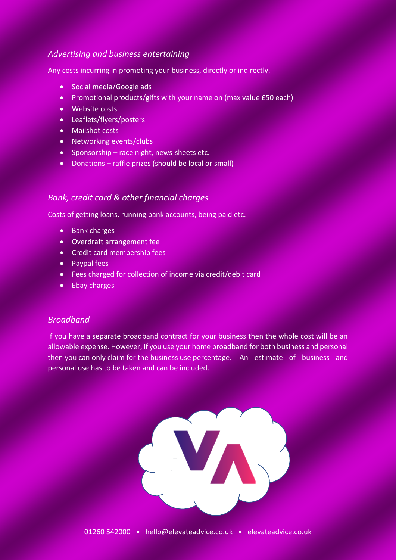# *Advertising and business entertaining*

Any costs incurring in promoting your business, directly or indirectly.

- Social media/Google ads
- Promotional products/gifts with your name on (max value £50 each)
- Website costs
- Leaflets/flyers/posters
- Mailshot costs
- Networking events/clubs
- Sponsorship race night, news-sheets etc.
- Donations raffle prizes (should be local or small)

## *Bank, credit card & other financial charges*

Costs of getting loans, running bank accounts, being paid etc.

- Bank charges
- Overdraft arrangement fee
- Credit card membership fees
- Paypal fees
- Fees charged for collection of income via credit/debit card
- Ebay charges

## *Broadband*

If you have a separate broadband contract for your business then the whole cost will be an allowable expense. However, if you use your home broadband for both business and personal then you can only claim for the business use percentage. An estimate of business and personal use has to be taken and can be included.

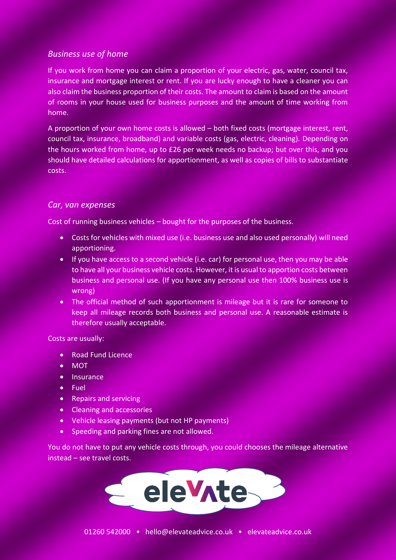## *Business use of home*

If you work from home you can claim a proportion of your electric, gas, water, council tax, insurance and mortgage interest or rent. If you are lucky enough to have a cleaner you can also claim the business proportion of their costs. The amount to claim is based on the amount of rooms in your house used for business purposes and the amount of time working from home.

A proportion of your own home costs is allowed – both fixed costs (mortgage interest, rent, council tax, insurance, broadband) and variable costs (gas, electric, cleaning). Depending on the hours worked from home, up to £26 per week needs no backup; but over this, and you should have detailed calculations for apportionment, as well as copies of bills to substantiate costs.

## *Car, van expenses*

Cost of running business vehicles – bought for the purposes of the business.

- Costs for vehicles with mixed use (i.e. business use and also used personally) will need apportioning.
- If you have access to a second vehicle (i.e. car) for personal use, then you may be able to have all your business vehicle costs. However, it is usual to apportion costs between business and personal use. (If you have any personal use then 100% business use is wrong)
- The official method of such apportionment is mileage but it is rare for someone to keep all mileage records both business and personal use. A reasonable estimate is therefore usually acceptable.

Costs are usually:

- Road Fund Licence
- MOT
- Insurance
- Fuel
- Repairs and servicing
- Cleaning and accessories
- Vehicle leasing payments (but not HP payments)
- Speeding and parking fines are not allowed.

You do not have to put any vehicle costs through, you could chooses the mileage alternative instead – see travel costs.

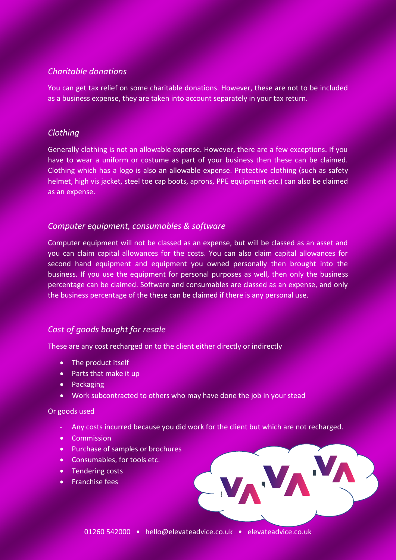# *Charitable donations*

You can get tax relief on some charitable donations. However, these are not to be included as a business expense, they are taken into account separately in your tax return.

## *Clothing*

Generally clothing is not an allowable expense. However, there are a few exceptions. If you have to wear a uniform or costume as part of your business then these can be claimed. Clothing which has a logo is also an allowable expense. Protective clothing (such as safety helmet, high vis jacket, steel toe cap boots, aprons, PPE equipment etc.) can also be claimed as an expense.

# *Computer equipment, consumables & software*

Computer equipment will not be classed as an expense, but will be classed as an asset and you can claim capital allowances for the costs. You can also claim capital allowances for second hand equipment and equipment you owned personally then brought into the business. If you use the equipment for personal purposes as well, then only the business percentage can be claimed. Software and consumables are classed as an expense, and only the business percentage of the these can be claimed if there is any personal use.

# *Cost of goods bought for resale*

These are any cost recharged on to the client either directly or indirectly

- The product itself
- Parts that make it up
- Packaging
- Work subcontracted to others who may have done the job in your stead

#### Or goods used

- Any costs incurred because you did work for the client but which are not recharged.
- Commission
- Purchase of samples or brochures
- Consumables, for tools etc.
- Tendering costs
- Franchise fees

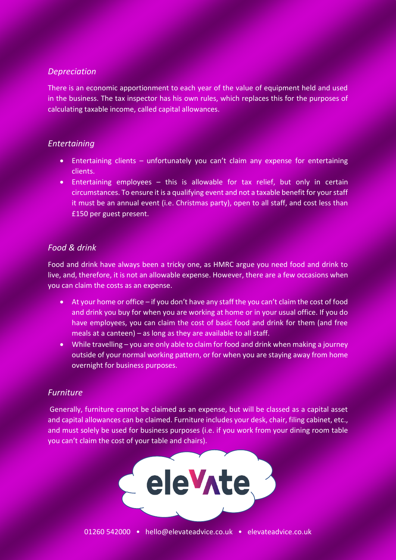# *Depreciation*

There is an economic apportionment to each year of the value of equipment held and used in the business. The tax inspector has his own rules, which replaces this for the purposes of calculating taxable income, called capital allowances.

# *Entertaining*

- Entertaining clients unfortunately you can't claim any expense for entertaining clients.
- Entertaining employees this is allowable for tax relief, but only in certain circumstances. To ensure it is a qualifying event and not a taxable benefit for your staff it must be an annual event (i.e. Christmas party), open to all staff, and cost less than £150 per guest present.

# *Food & drink*

Food and drink have always been a tricky one, as HMRC argue you need food and drink to live, and, therefore, it is not an allowable expense. However, there are a few occasions when you can claim the costs as an expense.

- At your home or office if you don't have any staff the you can't claim the cost of food and drink you buy for when you are working at home or in your usual office. If you do have employees, you can claim the cost of basic food and drink for them (and free meals at a canteen) – as long as they are available to all staff.
- While travelling you are only able to claim for food and drink when making a journey outside of your normal working pattern, or for when you are staying away from home overnight for business purposes.

# *Furniture*

Generally, furniture cannot be claimed as an expense, but will be classed as a capital asset and capital allowances can be claimed. Furniture includes your desk, chair, filing cabinet, etc., and must solely be used for business purposes (i.e. if you work from your dining room table you can't claim the cost of your table and chairs).

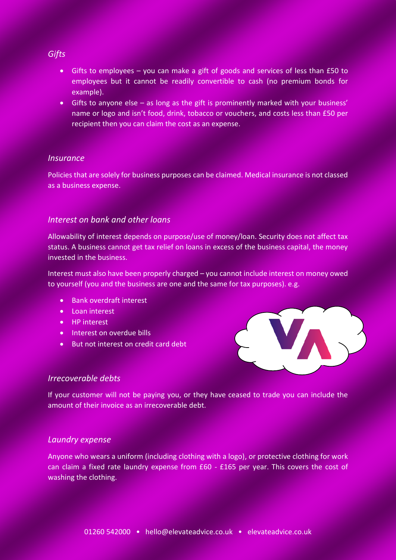#### *Gifts*

- Gifts to employees you can make a gift of goods and services of less than £50 to employees but it cannot be readily convertible to cash (no premium bonds for example).
- Gifts to anyone else as long as the gift is prominently marked with your business' name or logo and isn't food, drink, tobacco or vouchers, and costs less than £50 per recipient then you can claim the cost as an expense.

#### *Insurance*

Policies that are solely for business purposes can be claimed. Medical insurance is not classed as a business expense.

## *Interest on bank and other loans*

Allowability of interest depends on purpose/use of money/loan. Security does not affect tax status. A business cannot get tax relief on loans in excess of the business capital, the money invested in the business.

Interest must also have been properly charged – you cannot include interest on money owed to yourself (you and the business are one and the same for tax purposes). e.g.

- Bank overdraft interest
- Loan interest
- HP interest
- Interest on overdue bills
- But not interest on credit card debt



#### *Irrecoverable debts*

If your customer will not be paying you, or they have ceased to trade you can include the amount of their invoice as an irrecoverable debt.

#### *Laundry expense*

Anyone who wears a uniform (including clothing with a logo), or protective clothing for work can claim a fixed rate laundry expense from £60 - £165 per year. This covers the cost of washing the clothing.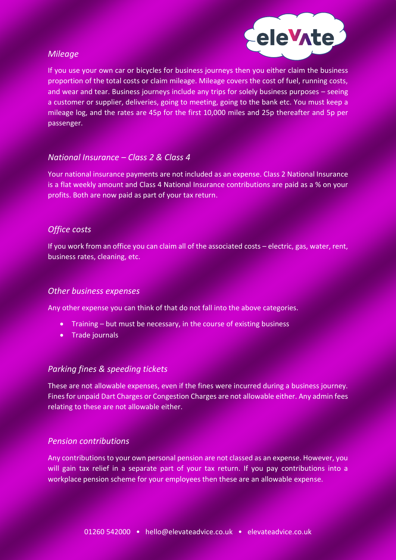## *Mileage*



If you use your own car or bicycles for business journeys then you either claim the business proportion of the total costs or claim mileage. Mileage covers the cost of fuel, running costs, and wear and tear. Business journeys include any trips for solely business purposes – seeing a customer or supplier, deliveries, going to meeting, going to the bank etc. You must keep a mileage log, and the rates are 45p for the first 10,000 miles and 25p thereafter and 5p per passenger.

# *National Insurance – Class 2 & Class 4*

Your national insurance payments are not included as an expense. Class 2 National Insurance is a flat weekly amount and Class 4 National Insurance contributions are paid as a % on your profits. Both are now paid as part of your tax return.

# *Office costs*

If you work from an office you can claim all of the associated costs – electric, gas, water, rent, business rates, cleaning, etc.

## *Other business expenses*

Any other expense you can think of that do not fall into the above categories.

- Training but must be necessary, in the course of existing business
- Trade journals

## *Parking fines & speeding tickets*

These are not allowable expenses, even if the fines were incurred during a business journey. Fines for unpaid Dart Charges or Congestion Charges are not allowable either. Any admin fees relating to these are not allowable either.

## *Pension contributions*

Any contributions to your own personal pension are not classed as an expense. However, you will gain tax relief in a separate part of your tax return. If you pay contributions into a workplace pension scheme for your employees then these are an allowable expense.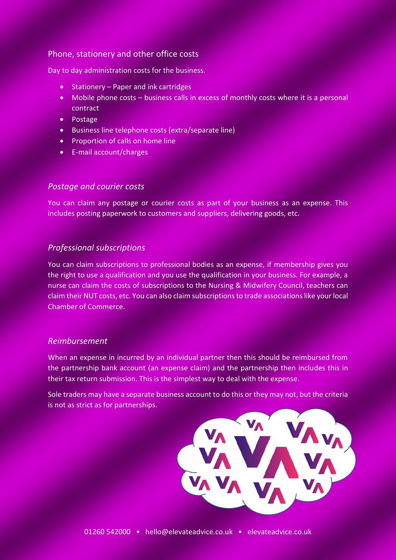## Phone, stationery and other office costs

Day to day administration costs for the business.

- Stationery Paper and ink cartridges
- Mobile phone costs business calls in excess of monthly costs where it is a personal contract
- Postage
- Business line telephone costs (extra/separate line)
- Proportion of calls on home line
- E-mail account/charges

#### *Postage and courier costs*

You can claim any postage or courier costs as part of your business as an expense. This includes posting paperwork to customers and suppliers, delivering goods, etc.

## *Professional subscriptions*

You can claim subscriptions to professional bodies as an expense, if membership gives you the right to use a qualification and you use the qualification in your business. For example, a nurse can claim the costs of subscriptions to the Nursing & Midwifery Council, teachers can claim their NUT costs, etc. You can also claim subscriptionsto trade associations like your local Chamber of Commerce.

## *Reimbursement*

When an expense in incurred by an individual partner then this should be reimbursed from the partnership bank account (an expense claim) and the partnership then includes this in their tax return submission. This is the simplest way to deal with the expense.

Sole traders may have a separate business account to do this or they may not, but the criteria is not as strict as for partnerships.

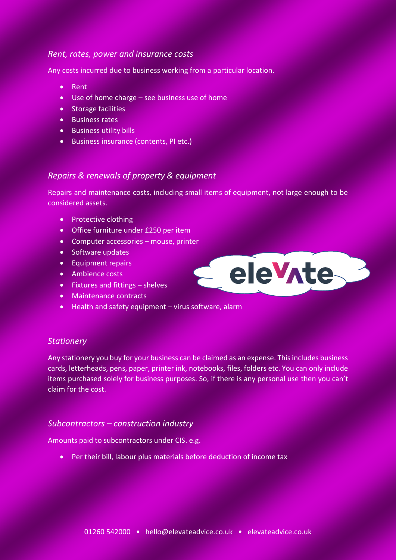## *Rent, rates, power and insurance costs*

Any costs incurred due to business working from a particular location.

- Rent
- Use of home charge see business use of home
- Storage facilities
- Business rates
- Business utility bills
- Business insurance (contents, PI etc.)

# *Repairs & renewals of property & equipment*

Repairs and maintenance costs, including small items of equipment, not large enough to be considered assets.

Pelevite

- Protective clothing
- Office furniture under £250 per item
- Computer accessories mouse, printer
- Software updates
- Equipment repairs
- Ambience costs
- Fixtures and fittings shelves
- Maintenance contracts
- Health and safety equipment virus software, alarm

# *Stationery*

Any stationery you buy for your business can be claimed as an expense. This includes business cards, letterheads, pens, paper, printer ink, notebooks, files, folders etc. You can only include items purchased solely for business purposes. So, if there is any personal use then you can't claim for the cost.

## *Subcontractors – construction industry*

Amounts paid to subcontractors under CIS. e.g.

• Per their bill, labour plus materials before deduction of income tax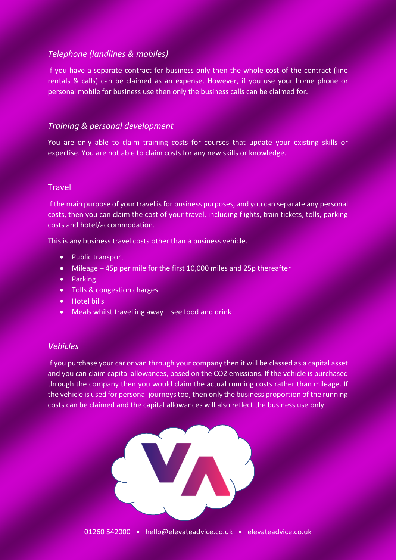## *Telephone (landlines & mobiles)*

If you have a separate contract for business only then the whole cost of the contract (line rentals & calls) can be claimed as an expense. However, if you use your home phone or personal mobile for business use then only the business calls can be claimed for.

# *Training & personal development*

You are only able to claim training costs for courses that update your existing skills or expertise. You are not able to claim costs for any new skills or knowledge.

#### **Travel**

If the main purpose of your travel is for business purposes, and you can separate any personal costs, then you can claim the cost of your travel, including flights, train tickets, tolls, parking costs and hotel/accommodation.

This is any business travel costs other than a business vehicle.

- Public transport
- Mileage 45p per mile for the first 10,000 miles and 25p thereafter
- Parking
- Tolls & congestion charges
- Hotel bills
- Meals whilst travelling away see food and drink

## *Vehicles*

If you purchase your car or van through your company then it will be classed as a capital asset and you can claim capital allowances, based on the CO2 emissions. If the vehicle is purchased through the company then you would claim the actual running costs rather than mileage. If the vehicle is used for personal journeys too, then only the business proportion of the running costs can be claimed and the capital allowances will also reflect the business use only.